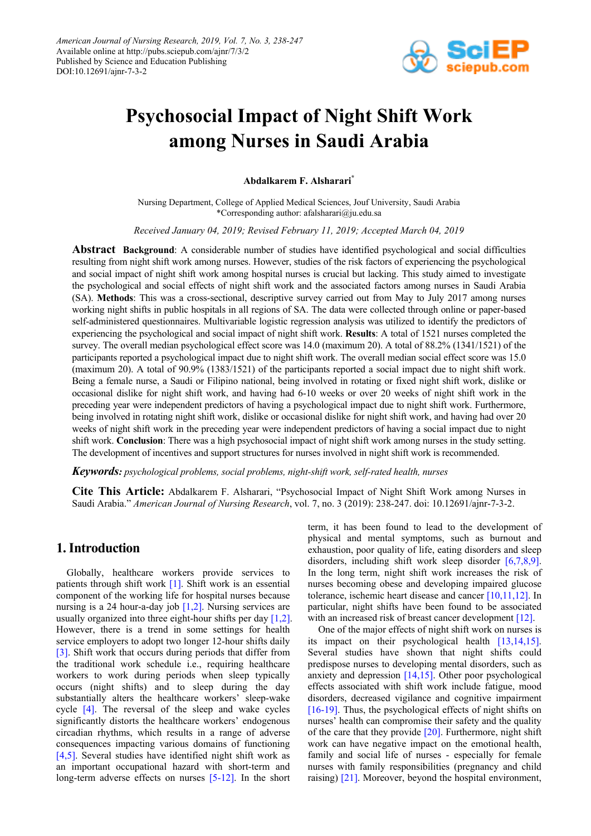

# **Psychosocial Impact of Night Shift Work among Nurses in Saudi Arabia**

**Abdalkarem F. Alsharari\***

Nursing Department, College of Applied Medical Sciences, Jouf University, Saudi Arabia \*Corresponding author: afalsharari@ju.edu.sa

*Received January 04, 2019; Revised February 11, 2019; Accepted March 04, 2019*

**Abstract Background**: A considerable number of studies have identified psychological and social difficulties resulting from night shift work among nurses. However, studies of the risk factors of experiencing the psychological and social impact of night shift work among hospital nurses is crucial but lacking. This study aimed to investigate the psychological and social effects of night shift work and the associated factors among nurses in Saudi Arabia (SA). **Methods**: This was a cross-sectional, descriptive survey carried out from May to July 2017 among nurses working night shifts in public hospitals in all regions of SA. The data were collected through online or paper-based self-administered questionnaires. Multivariable logistic regression analysis was utilized to identify the predictors of experiencing the psychological and social impact of night shift work. **Results**: A total of 1521 nurses completed the survey. The overall median psychological effect score was 14.0 (maximum 20). A total of 88.2% (1341/1521) of the participants reported a psychological impact due to night shift work. The overall median social effect score was 15.0 (maximum 20). A total of 90.9% (1383/1521) of the participants reported a social impact due to night shift work. Being a female nurse, a Saudi or Filipino national, being involved in rotating or fixed night shift work, dislike or occasional dislike for night shift work, and having had 6-10 weeks or over 20 weeks of night shift work in the preceding year were independent predictors of having a psychological impact due to night shift work. Furthermore, being involved in rotating night shift work, dislike or occasional dislike for night shift work, and having had over 20 weeks of night shift work in the preceding year were independent predictors of having a social impact due to night shift work. **Conclusion**: There was a high psychosocial impact of night shift work among nurses in the study setting. The development of incentives and support structures for nurses involved in night shift work is recommended.

*Keywords: psychological problems, social problems, night-shift work, self-rated health, nurses*

**Cite This Article:** Abdalkarem F. Alsharari, "Psychosocial Impact of Night Shift Work among Nurses in Saudi Arabia." *American Journal of Nursing Research*, vol. 7, no. 3 (2019): 238-247. doi: 10.12691/ajnr-7-3-2.

## **1. Introduction**

Globally, healthcare workers provide services to patients through shift work [\[1\].](#page-8-0) Shift work is an essential component of the working life for hospital nurses because nursing is a 24 hour-a-day job [\[1,2\].](#page-8-0) Nursing services are usually organized into three eight-hour shifts per day [\[1,2\].](#page-8-0) However, there is a trend in some settings for health service employers to adopt two longer 12-hour shifts daily [\[3\].](#page-8-1) Shift work that occurs during periods that differ from the traditional work schedule i.e., requiring healthcare workers to work during periods when sleep typically occurs (night shifts) and to sleep during the day substantially alters the healthcare workers' sleep-wake cycle [\[4\].](#page-8-2) The reversal of the sleep and wake cycles significantly distorts the healthcare workers' endogenous circadian rhythms, which results in a range of adverse consequences impacting various domains of functioning [\[4,5\].](#page-8-2) Several studies have identified night shift work as an important occupational hazard with short-term and long-term adverse effects on nurses [\[5-12\].](#page-8-3) In the short term, it has been found to lead to the development of physical and mental symptoms, such as burnout and exhaustion, poor quality of life, eating disorders and sleep disorders, including shift work sleep disorder [\[6,7,8,9\].](#page-8-4) In the long term, night shift work increases the risk of nurses becoming obese and developing impaired glucose tolerance, ischemic heart disease and cancer [\[10,11,12\].](#page-9-0) In particular, night shifts have been found to be associated with an increased risk of breast cancer development [\[12\].](#page-9-1)

One of the major effects of night shift work on nurses is its impact on their psychological health [\[13,14,15\].](#page-9-2) Several studies have shown that night shifts could predispose nurses to developing mental disorders, such as anxiety and depression [\[14,15\].](#page-9-3) Other poor psychological effects associated with shift work include fatigue, mood disorders, decreased vigilance and cognitive impairment [\[16-19\].](#page-9-4) Thus, the psychological effects of night shifts on nurses' health can compromise their safety and the quality of the care that they provide  $[20]$ . Furthermore, night shift work can have negative impact on the emotional health, family and social life of nurses - especially for female nurses with family responsibilities (pregnancy and child raising) [\[21\].](#page-9-6) Moreover, beyond the hospital environment,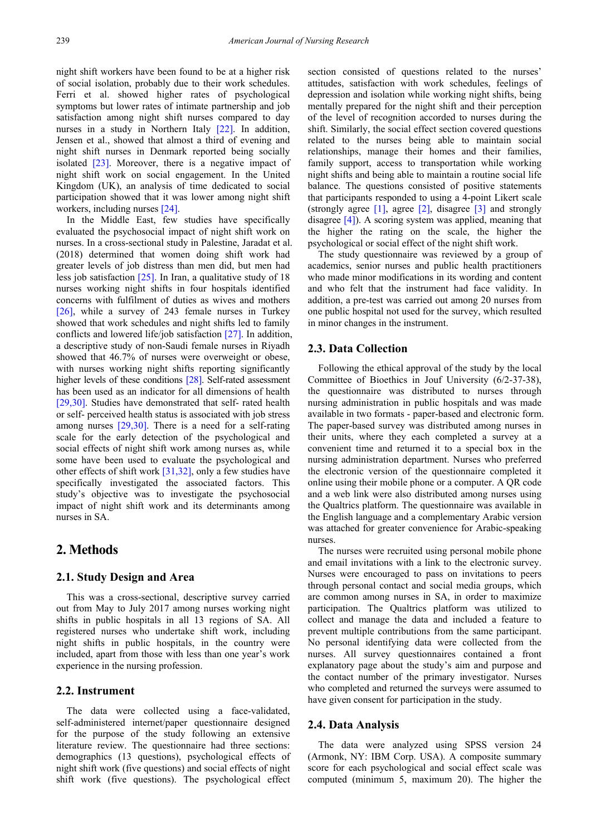night shift workers have been found to be at a higher risk of social isolation, probably due to their work schedules. Ferri et al. showed higher rates of psychological symptoms but lower rates of intimate partnership and job satisfaction among night shift nurses compared to day nurses in a study in Northern Italy [\[22\].](#page-9-7) In addition, Jensen et al., showed that almost a third of evening and night shift nurses in Denmark reported being socially isolated [\[23\].](#page-9-8) Moreover, there is a negative impact of night shift work on social engagement. In the United Kingdom (UK), an analysis of time dedicated to social participation showed that it was lower among night shift workers, including nurses [\[24\].](#page-9-9)

In the Middle East, few studies have specifically evaluated the psychosocial impact of night shift work on nurses. In a cross-sectional study in Palestine, Jaradat et al. (2018) determined that women doing shift work had greater levels of job distress than men did, but men had less job satisfaction [\[25\].](#page-9-10) In Iran, a qualitative study of 18 nurses working night shifts in four hospitals identified concerns with fulfilment of duties as wives and mothers [\[26\],](#page-9-11) while a survey of 243 female nurses in Turkey showed that work schedules and night shifts led to family conflicts and lowered life/job satisfaction [\[27\].](#page-9-12) In addition, a descriptive study of non-Saudi female nurses in Riyadh showed that 46.7% of nurses were overweight or obese, with nurses working night shifts reporting significantly higher levels of these conditions [\[28\].](#page-9-13) Self-rated assessment has been used as an indicator for all dimensions of health [\[29,30\].](#page-9-14) Studies have demonstrated that self- rated health or self- perceived health status is associated with job stress among nurses [\[29,30\].](#page-9-14) There is a need for a self-rating scale for the early detection of the psychological and social effects of night shift work among nurses as, while some have been used to evaluate the psychological and other effects of shift work [\[31,32\],](#page-9-15) only a few studies have specifically investigated the associated factors. This study's objective was to investigate the psychosocial impact of night shift work and its determinants among nurses in SA.

### **2. Methods**

### **2.1. Study Design and Area**

This was a cross-sectional, descriptive survey carried out from May to July 2017 among nurses working night shifts in public hospitals in all 13 regions of SA. All registered nurses who undertake shift work, including night shifts in public hospitals, in the country were included, apart from those with less than one year's work experience in the nursing profession.

### **2.2. Instrument**

The data were collected using a face-validated, self-administered internet/paper questionnaire designed for the purpose of the study following an extensive literature review. The questionnaire had three sections: demographics (13 questions), psychological effects of night shift work (five questions) and social effects of night shift work (five questions). The psychological effect section consisted of questions related to the nurses' attitudes, satisfaction with work schedules, feelings of depression and isolation while working night shifts, being mentally prepared for the night shift and their perception of the level of recognition accorded to nurses during the shift. Similarly, the social effect section covered questions related to the nurses being able to maintain social relationships, manage their homes and their families, family support, access to transportation while working night shifts and being able to maintain a routine social life balance. The questions consisted of positive statements that participants responded to using a 4-point Likert scale (strongly agree [\[1\],](#page-8-0) agree [\[2\],](#page-8-5) disagree [\[3\]](#page-8-1) and strongly disagree  $[4]$ ). A scoring system was applied, meaning that the higher the rating on the scale, the higher the psychological or social effect of the night shift work.

The study questionnaire was reviewed by a group of academics, senior nurses and public health practitioners who made minor modifications in its wording and content and who felt that the instrument had face validity. In addition, a pre-test was carried out among 20 nurses from one public hospital not used for the survey, which resulted in minor changes in the instrument.

### **2.3. Data Collection**

Following the ethical approval of the study by the local Committee of Bioethics in Jouf University (6/2-37-38), the questionnaire was distributed to nurses through nursing administration in public hospitals and was made available in two formats - paper-based and electronic form. The paper-based survey was distributed among nurses in their units, where they each completed a survey at a convenient time and returned it to a special box in the nursing administration department. Nurses who preferred the electronic version of the questionnaire completed it online using their mobile phone or a computer. A QR code and a web link were also distributed among nurses using the Qualtrics platform. The questionnaire was available in the English language and a complementary Arabic version was attached for greater convenience for Arabic-speaking nurses.

The nurses were recruited using personal mobile phone and email invitations with a link to the electronic survey. Nurses were encouraged to pass on invitations to peers through personal contact and social media groups, which are common among nurses in SA, in order to maximize participation. The Qualtrics platform was utilized to collect and manage the data and included a feature to prevent multiple contributions from the same participant. No personal identifying data were collected from the nurses. All survey questionnaires contained a front explanatory page about the study's aim and purpose and the contact number of the primary investigator. Nurses who completed and returned the surveys were assumed to have given consent for participation in the study.

### **2.4. Data Analysis**

The data were analyzed using SPSS version 24 (Armonk, NY: IBM Corp. USA). A composite summary score for each psychological and social effect scale was computed (minimum 5, maximum 20). The higher the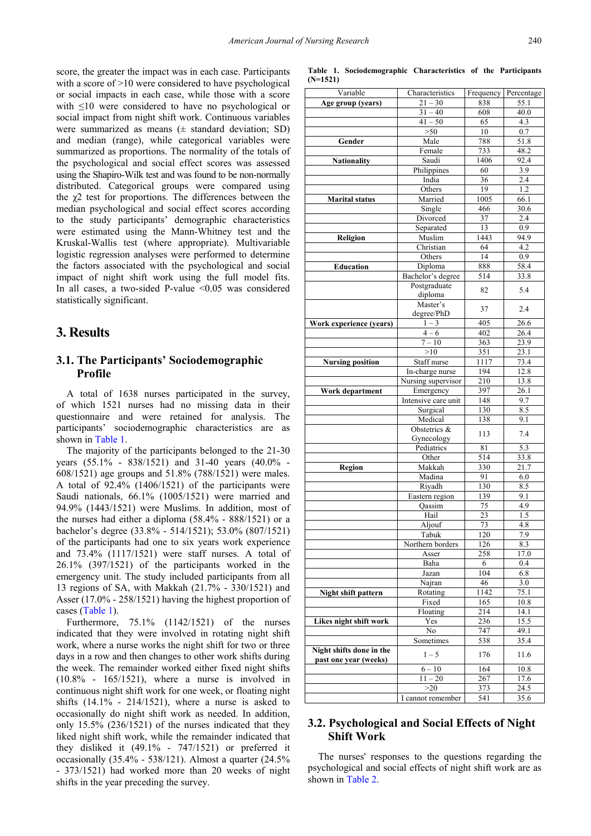score, the greater the impact was in each case. Participants with a score of >10 were considered to have psychological or social impacts in each case, while those with a score with ≤10 were considered to have no psychological or social impact from night shift work. Continuous variables were summarized as means  $(\pm$  standard deviation; SD) and median (range), while categorical variables were summarized as proportions. The normality of the totals of the psychological and social effect scores was assessed using the Shapiro-Wilk test and was found to be non-normally distributed. Categorical groups were compared using the  $\gamma$ 2 test for proportions. The differences between the median psychological and social effect scores according to the study participants' demographic characteristics were estimated using the Mann-Whitney test and the Kruskal-Wallis test (where appropriate). Multivariable logistic regression analyses were performed to determine the factors associated with the psychological and social impact of night shift work using the full model fits. In all cases, a two-sided P-value  $\leq 0.05$  was considered statistically significant.

## **3. Results**

### **3.1. The Participants' Sociodemographic Profile**

A total of 1638 nurses participated in the survey, of which 1521 nurses had no missing data in their questionnaire and were retained for analysis. The participants' sociodemographic characteristics are as shown i[n Table 1.](#page-2-0)

The majority of the participants belonged to the 21-30 years (55.1% - 838/1521) and 31-40 years (40.0% - 608/1521) age groups and 51.8% (788/1521) were males. A total of 92.4% (1406/1521) of the participants were Saudi nationals, 66.1% (1005/1521) were married and 94.9% (1443/1521) were Muslims. In addition, most of the nurses had either a diploma (58.4% - 888/1521) or a bachelor's degree (33.8% - 514/1521); 53.0% (807/1521) of the participants had one to six years work experience and 73.4% (1117/1521) were staff nurses. A total of 26.1% (397/1521) of the participants worked in the emergency unit. The study included participants from all 13 regions of SA, with Makkah (21.7% - 330/1521) and Asser (17.0% - 258/1521) having the highest proportion of cases [\(Table 1\)](#page-2-0).

Furthermore, 75.1% (1142/1521) of the nurses indicated that they were involved in rotating night shift work, where a nurse works the night shift for two or three days in a row and then changes to other work shifts during the week. The remainder worked either fixed night shifts (10.8% - 165/1521), where a nurse is involved in continuous night shift work for one week, or floating night shifts  $(14.1\% - 214/1521)$ , where a nurse is asked to occasionally do night shift work as needed. In addition, only 15.5% (236/1521) of the nurses indicated that they liked night shift work, while the remainder indicated that they disliked it (49.1% - 747/1521) or preferred it occasionally (35.4% - 538/121). Almost a quarter (24.5% - 373/1521) had worked more than 20 weeks of night shifts in the year preceding the survey.

<span id="page-2-0"></span>

| Variable                 | Characteristics     | Frequency | Percentage        |
|--------------------------|---------------------|-----------|-------------------|
| Age group (years)        | $21 - 30$           | 838       | 55.1              |
|                          | $31 - 40$           | 608       | 40.0              |
|                          | $41 - 50$           | 65        | 4.3               |
|                          | $>50$               | 10        | $0.7\,$           |
| Gender                   | Male                | 788       | 51.8              |
|                          | Female              | 733       | 48.2              |
| <b>Nationality</b>       | Saudi               | 1406      | 92.4              |
|                          | Philippines         | 60        | 3.9               |
|                          | India               | 36        | 2.4               |
|                          | Others              | 19        | 1.2               |
| <b>Marital</b> status    | Married             | 1005      | 66.1              |
|                          | Single              | 466       | 30.6              |
|                          | Divorced            | 37        | 2.4               |
|                          | Separated           | 13        | 0.9               |
| Religion                 | Muslim              | 1443      | 94.9              |
|                          | Christian           | 64        | $\overline{4.2}$  |
|                          | Others              | 14        | 0.9               |
| <b>Education</b>         | Diploma             | 888       | 58.4              |
|                          | Bachelor's degree   | 514       | 33.8              |
|                          | Postgraduate        |           |                   |
|                          | diploma             | 82        | 5.4               |
|                          | Master's            |           |                   |
|                          | degree/PhD          | 37        | 2.4               |
| Work experience (years)  | $1 - 3$             | 405       | 26.6              |
|                          | $4 - 6$             | 402       | 26.4              |
|                          | $7 - 10$            | 363       | 23.9              |
|                          | >10                 | 351       | 23.1              |
| <b>Nursing position</b>  | Staff nurse         | 1117      | 73.4              |
|                          | In-charge nurse     | 194       | 12.8              |
|                          | Nursing supervisor  | 210       | $13.\overline{8}$ |
| <b>Work department</b>   | Emergency           | 397       | 26.1              |
|                          | Intensive care unit | 148       | 9.7               |
|                          | Surgical            | 130       | 8.5               |
|                          | Medical             | 138       | 9.1               |
|                          | Obstetrics &        |           |                   |
|                          | Gynecology          | 113       | 7.4               |
|                          | Pediatrics          | 81        | 5.3               |
|                          | Other               | 514       | 33.8              |
| <b>Region</b>            | Makkah              | 330       | 21.7              |
|                          | Madina              | 91        | 6.0               |
|                          | Riyadh              | 130       | 8.5               |
|                          | Eastern region      | 139       | 9.1               |
|                          | Qassim              | 75        | 4.9               |
|                          | Hail                | 23        | $\overline{1.5}$  |
|                          | Aljouf              | 73        | 4.8               |
|                          | Fabuk               | 120       | 7.9               |
|                          | Northern borders    | 126       | 8.3               |
|                          | Asser               | 258       | 17.0              |
|                          | Baha                | 6         | 0.4               |
|                          | Jazan               | 104       | 6.8               |
|                          | Najran              | 46        | 3.0               |
| Night shift pattern      | Rotating            | 1142      | 75.1              |
|                          | Fixed               | 165       | 10.8              |
|                          | Floating            | 214       | 14.1              |
| Likes night shift work   | Yes                 | 236       | 15.5              |
|                          | No                  | 747       | 49.1              |
|                          | Sometimes           | 538       | 35.4              |
| Night shifts done in the |                     |           |                   |
| past one year (weeks)    | $1 - 5$             | 176       | 11.6              |
|                          | $6 - 10$            | 164       | 10.8              |
|                          | $11 - 20$           | 267       | 17.6              |
|                          | >20                 | 373       | 24.5              |
|                          | I cannot remember   | 541       | 35.6              |
|                          |                     |           |                   |

#### **Table 1. Sociodemographic Characteristics of the Participants (N=1521)**

# **3.2. Psychological and Social Effects of Night Shift Work**

The nurses' responses to the questions regarding the psychological and social effects of night shift work are as shown in [Table 2.](#page-3-0)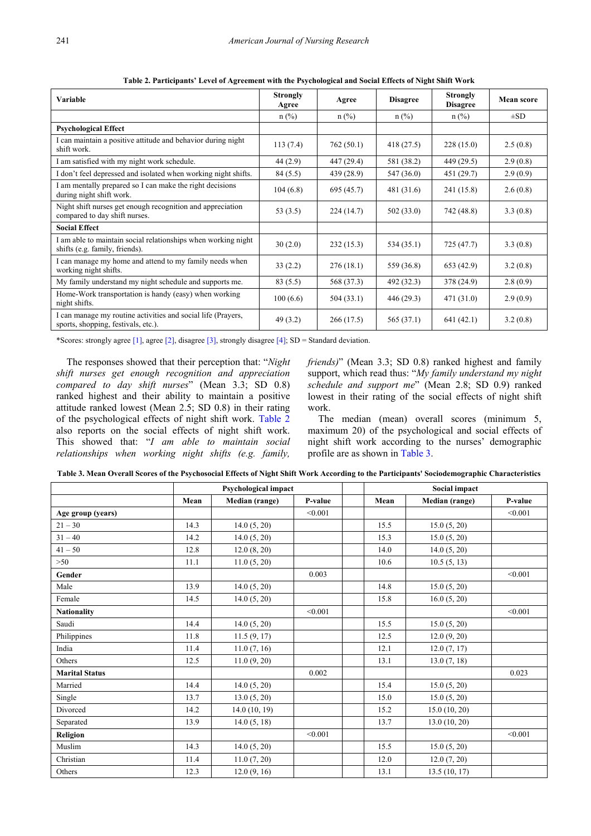<span id="page-3-0"></span>

| <b>Variable</b>                                                                                     | <b>Strongly</b><br>Agree | Agree      | <b>Disagree</b> | <b>Strongly</b><br><b>Disagree</b> | Mean score |
|-----------------------------------------------------------------------------------------------------|--------------------------|------------|-----------------|------------------------------------|------------|
|                                                                                                     | $n$ (%)                  | $n$ (%)    | $n$ (%)         | $n$ (%)                            | $\pm SD$   |
| <b>Psychological Effect</b>                                                                         |                          |            |                 |                                    |            |
| I can maintain a positive attitude and behavior during night<br>shift work.                         | 113(7.4)                 | 762(50.1)  | 418(27.5)       | 228(15.0)                          | 2.5(0.8)   |
| I am satisfied with my night work schedule.                                                         | 44(2.9)                  | 447 (29.4) | 581 (38.2)      | 449 (29.5)                         | 2.9(0.8)   |
| I don't feel depressed and isolated when working night shifts.                                      | 84 (5.5)                 | 439 (28.9) | 547 (36.0)      | 451 (29.7)                         | 2.9(0.9)   |
| I am mentally prepared so I can make the right decisions<br>during night shift work.                | 104(6.8)                 | 695 (45.7) | 481 (31.6)      | 241 (15.8)                         | 2.6(0.8)   |
| Night shift nurses get enough recognition and appreciation<br>compared to day shift nurses.         | 53 $(3.5)$               | 224(14.7)  | 502(33.0)       | 742 (48.8)                         | 3.3(0.8)   |
| <b>Social Effect</b>                                                                                |                          |            |                 |                                    |            |
| I am able to maintain social relationships when working night<br>shifts (e.g. family, friends).     | 30(2.0)                  | 232(15.3)  | 534(35.1)       | 725(47.7)                          | 3.3(0.8)   |
| I can manage my home and attend to my family needs when<br>working night shifts.                    | 33(2.2)                  | 276(18.1)  | 559 (36.8)      | 653(42.9)                          | 3.2(0.8)   |
| My family understand my night schedule and supports me.                                             | 83 (5.5)                 | 568 (37.3) | 492 (32.3)      | 378 (24.9)                         | 2.8(0.9)   |
| Home-Work transportation is handy (easy) when working<br>night shifts.                              | 100(6.6)                 | 504(33.1)  | 446 (29.3)      | 471 (31.0)                         | 2.9(0.9)   |
| I can manage my routine activities and social life (Prayers,<br>sports, shopping, festivals, etc.). | 49(3.2)                  | 266(17.5)  | 565 (37.1)      | 641(42.1)                          | 3.2(0.8)   |

**Table 2. Participants' Level of Agreement with the Psychological and Social Effects of Night Shift Work**

\*Scores: strongly agree  $[1]$ , agree  $[2]$ , disagree  $[3]$ , strongly disagree  $[4]$ ; SD = Standard deviation.

The responses showed that their perception that: "*Night shift nurses get enough recognition and appreciation compared to day shift nurses*" (Mean 3.3; SD 0.8) ranked highest and their ability to maintain a positive attitude ranked lowest (Mean 2.5; SD 0.8) in their rating of the psychological effects of night shift work. [Table 2](#page-3-0) also reports on the social effects of night shift work. This showed that: "*I am able to maintain social relationships when working night shifts (e.g. family,* 

*friends)*" (Mean 3.3; SD 0.8) ranked highest and family support, which read thus: "*My family understand my night schedule and support me*" (Mean 2.8; SD 0.9) ranked lowest in their rating of the social effects of night shift work.

The median (mean) overall scores (minimum 5, maximum 20) of the psychological and social effects of night shift work according to the nurses' demographic profile are as shown in [Table 3.](#page-3-1)

<span id="page-3-1"></span>

|                       | <b>Psychological impact</b> |                |         | Social impact |                |         |
|-----------------------|-----------------------------|----------------|---------|---------------|----------------|---------|
|                       | Mean                        | Median (range) | P-value | Mean          | Median (range) | P-value |
| Age group (years)     |                             |                | < 0.001 |               |                | < 0.001 |
| $21 - 30$             | 14.3                        | 14.0(5, 20)    |         | 15.5          | 15.0(5, 20)    |         |
| $31 - 40$             | 14.2                        | 14.0(5, 20)    |         | 15.3          | 15.0(5, 20)    |         |
| $41 - 50$             | 12.8                        | 12.0(8, 20)    |         | 14.0          | 14.0(5, 20)    |         |
| >50                   | 11.1                        | 11.0(5, 20)    |         | 10.6          | 10.5(5, 13)    |         |
| Gender                |                             |                | 0.003   |               |                | < 0.001 |
| Male                  | 13.9                        | 14.0(5, 20)    |         | 14.8          | 15.0(5, 20)    |         |
| Female                | 14.5                        | 14.0(5, 20)    |         | 15.8          | 16.0(5, 20)    |         |
| <b>Nationality</b>    |                             |                | < 0.001 |               |                | < 0.001 |
| Saudi                 | 14.4                        | 14.0(5, 20)    |         | 15.5          | 15.0(5, 20)    |         |
| Philippines           | 11.8                        | 11.5(9, 17)    |         | 12.5          | 12.0(9, 20)    |         |
| India                 | 11.4                        | 11.0(7, 16)    |         | 12.1          | 12.0(7, 17)    |         |
| Others                | 12.5                        | 11.0(9, 20)    |         | 13.1          | 13.0(7, 18)    |         |
| <b>Marital Status</b> |                             |                | 0.002   |               |                | 0.023   |
| Married               | 14.4                        | 14.0(5, 20)    |         | 15.4          | 15.0(5, 20)    |         |
| Single                | 13.7                        | 13.0(5, 20)    |         | 15.0          | 15.0(5, 20)    |         |
| Divorced              | 14.2                        | 14.0(10, 19)   |         | 15.2          | 15.0(10, 20)   |         |
| Separated             | 13.9                        | 14.0(5, 18)    |         | 13.7          | 13.0(10, 20)   |         |
| Religion              |                             |                | < 0.001 |               |                | < 0.001 |
| Muslim                | 14.3                        | 14.0(5, 20)    |         | 15.5          | 15.0(5, 20)    |         |
| Christian             | 11.4                        | 11.0(7, 20)    |         | 12.0          | 12.0(7, 20)    |         |
| Others                | 12.3                        | 12.0(9, 16)    |         | 13.1          | 13.5(10, 17)   |         |

**Table 3. Mean Overall Scores of the Psychosocial Effects of Night Shift Work According to the Participants' Sociodemographic Characteristics**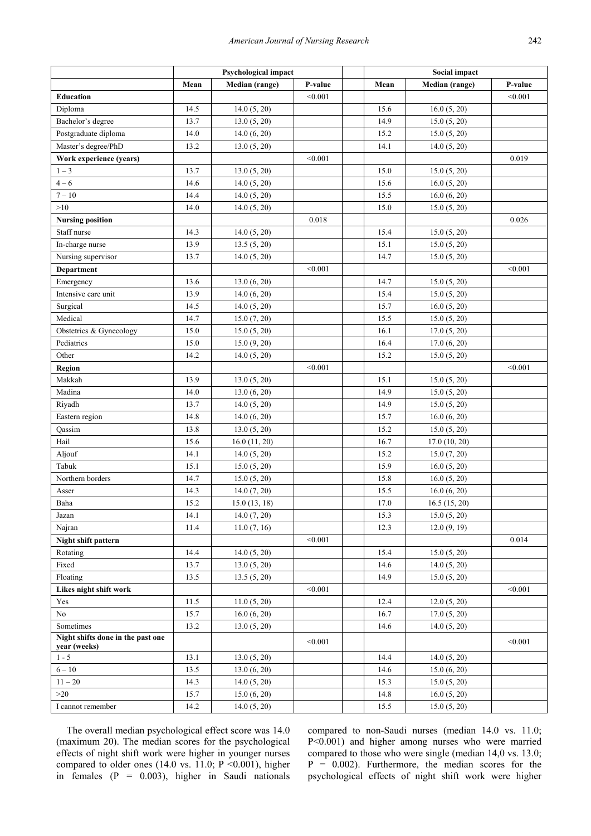|                                                   | Psychological impact |                |         | <b>Social impact</b> |                |         |
|---------------------------------------------------|----------------------|----------------|---------|----------------------|----------------|---------|
|                                                   | Mean                 | Median (range) | P-value | Mean                 | Median (range) | P-value |
| <b>Education</b>                                  |                      |                | < 0.001 |                      |                | < 0.001 |
| Diploma                                           | 14.5                 | 14.0(5, 20)    |         | 15.6                 | 16.0(5, 20)    |         |
| Bachelor's degree                                 | 13.7                 | 13.0(5, 20)    |         | 14.9                 | 15.0(5, 20)    |         |
| Postgraduate diploma                              | 14.0                 | 14.0(6, 20)    |         | 15.2                 | 15.0(5, 20)    |         |
| Master's degree/PhD                               | 13.2                 | 13.0(5, 20)    |         | 14.1                 | 14.0(5, 20)    |         |
| Work experience (years)                           |                      |                | < 0.001 |                      |                | 0.019   |
| $1 - 3$                                           | 13.7                 | 13.0(5, 20)    |         | 15.0                 | 15.0(5, 20)    |         |
| $4 - 6$                                           | 14.6                 | 14.0(5, 20)    |         | 15.6                 | 16.0(5, 20)    |         |
| $7 - 10$                                          | 14.4                 | 14.0(5, 20)    |         | 15.5                 | 16.0(6, 20)    |         |
| $>10$                                             | 14.0                 | 14.0(5, 20)    |         | 15.0                 | 15.0(5, 20)    |         |
| <b>Nursing position</b>                           |                      |                | 0.018   |                      |                | 0.026   |
| Staff nurse                                       | 14.3                 | 14.0(5, 20)    |         | 15.4                 | 15.0(5, 20)    |         |
| In-charge nurse                                   | 13.9                 | 13.5(5, 20)    |         | 15.1                 | 15.0(5, 20)    |         |
| Nursing supervisor                                | 13.7                 | 14.0(5, 20)    |         | 14.7                 | 15.0(5, 20)    |         |
| Department                                        |                      |                | < 0.001 |                      |                | < 0.001 |
| Emergency                                         | 13.6                 | 13.0(6, 20)    |         | 14.7                 | 15.0(5, 20)    |         |
| Intensive care unit                               | 13.9                 | 14.0(6, 20)    |         | 15.4                 | 15.0(5, 20)    |         |
| Surgical                                          | 14.5                 | 14.0(5, 20)    |         | 15.7                 | 16.0(5, 20)    |         |
| Medical                                           | 14.7                 | 15.0(7, 20)    |         | 15.5                 | 15.0(5, 20)    |         |
| Obstetrics & Gynecology                           | 15.0                 | 15.0(5, 20)    |         | 16.1                 | 17.0(5, 20)    |         |
| Pediatrics                                        | 15.0                 | 15.0(9, 20)    |         | 16.4                 | 17.0(6, 20)    |         |
| Other                                             | 14.2                 | 14.0(5, 20)    |         | 15.2                 | 15.0(5, 20)    |         |
| <b>Region</b>                                     |                      |                | < 0.001 |                      |                | < 0.001 |
| Makkah                                            | 13.9                 | 13.0(5, 20)    |         | 15.1                 | 15.0(5, 20)    |         |
| Madina                                            | 14.0                 | 13.0(6, 20)    |         | 14.9                 | 15.0(5, 20)    |         |
| Riyadh                                            | 13.7                 | 14.0(5, 20)    |         | 14.9                 | 15.0(5, 20)    |         |
| Eastern region                                    | 14.8                 | 14.0(6, 20)    |         | 15.7                 | 16.0(6, 20)    |         |
| Qassim                                            | 13.8                 | 13.0(5, 20)    |         | 15.2                 | 15.0(5, 20)    |         |
| Hail                                              | 15.6                 | 16.0(11, 20)   |         | 16.7                 | 17.0(10, 20)   |         |
| Aljouf                                            | 14.1                 | 14.0(5, 20)    |         | 15.2                 | 15.0 (7, 20)   |         |
| Tabuk                                             | 15.1                 | 15.0(5, 20)    |         | 15.9                 | 16.0(5, 20)    |         |
| Northern borders                                  | 14.7                 | 15.0(5, 20)    |         | 15.8                 | 16.0(5, 20)    |         |
| Asser                                             | 14.3                 | 14.0(7, 20)    |         | 15.5                 | 16.0(6, 20)    |         |
| Baha                                              | 15.2                 | 15.0(13, 18)   |         | 17.0                 | 16.5(15, 20)   |         |
| Jazan                                             | 14.1                 | 14.0(7, 20)    |         | 15.3                 | 15.0(5, 20)    |         |
| Najran                                            | 11.4                 | 11.0(7, 16)    |         | 12.3                 | 12.0(9, 19)    |         |
| Night shift pattern                               |                      |                | < 0.001 |                      |                | 0.014   |
| Rotating                                          | 14.4                 | 14.0(5, 20)    |         | 15.4                 | 15.0(5, 20)    |         |
| Fixed                                             | 13.7                 | 13.0(5, 20)    |         | 14.6                 | 14.0(5, 20)    |         |
| Floating                                          | 13.5                 | 13.5(5, 20)    |         | 14.9                 | 15.0(5, 20)    |         |
| Likes night shift work                            |                      |                | < 0.001 |                      |                | < 0.001 |
| Yes                                               | 11.5                 | 11.0(5, 20)    |         | 12.4                 | 12.0(5, 20)    |         |
| No                                                | 15.7                 | 16.0(6, 20)    |         | 16.7                 | 17.0(5, 20)    |         |
| Sometimes                                         | 13.2                 | 13.0(5, 20)    |         | 14.6                 | 14.0(5, 20)    |         |
| Night shifts done in the past one<br>year (weeks) |                      |                | < 0.001 |                      |                | < 0.001 |
| $1 - 5$                                           | 13.1                 | 13.0(5, 20)    |         | 14.4                 | 14.0(5, 20)    |         |
| $6 - 10$                                          | 13.5                 | 13.0(6, 20)    |         | 14.6                 | 15.0(6, 20)    |         |
| $11 - 20$                                         | 14.3                 | 14.0(5, 20)    |         | 15.3                 | 15.0(5, 20)    |         |
| >20                                               | 15.7                 | 15.0(6, 20)    |         | 14.8                 | 16.0(5, 20)    |         |
| I cannot remember                                 | 14.2                 | 14.0(5, 20)    |         | 15.5                 | 15.0(5, 20)    |         |

The overall median psychological effect score was 14.0 (maximum 20). The median scores for the psychological effects of night shift work were higher in younger nurses compared to older ones  $(14.0 \text{ vs. } 11.0; \text{ P} < 0.001)$ , higher in females  $(P = 0.003)$ , higher in Saudi nationals compared to non-Saudi nurses (median 14.0 vs. 11.0; P<0.001) and higher among nurses who were married compared to those who were single (median 14,0 vs. 13.0;  $P = 0.002$ ). Furthermore, the median scores for the psychological effects of night shift work were higher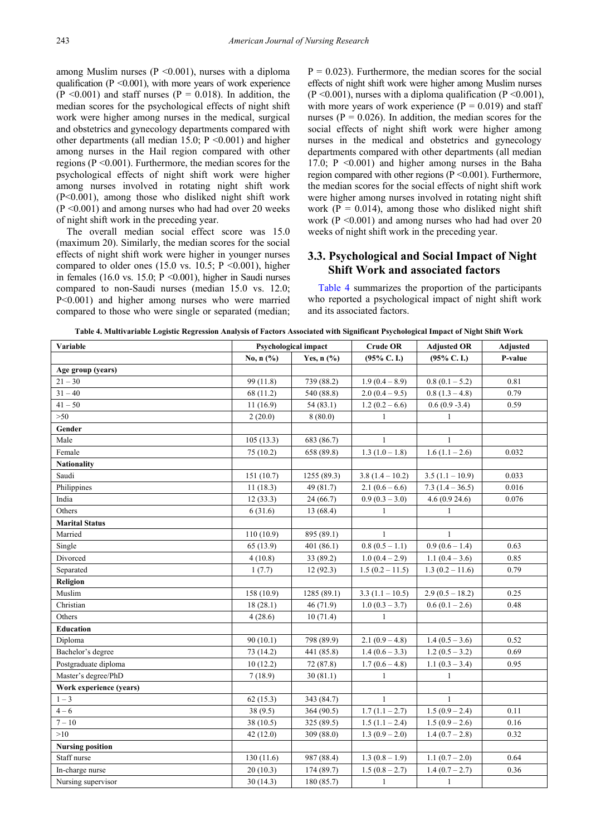among Muslim nurses ( $P \le 0.001$ ), nurses with a diploma qualification ( $P \le 0.001$ ), with more years of work experience  $(P \le 0.001)$  and staff nurses  $(P = 0.018)$ . In addition, the median scores for the psychological effects of night shift work were higher among nurses in the medical, surgical and obstetrics and gynecology departments compared with other departments (all median 15.0;  $P \le 0.001$ ) and higher among nurses in the Hail region compared with other regions ( $P \le 0.001$ ). Furthermore, the median scores for the psychological effects of night shift work were higher among nurses involved in rotating night shift work (P<0.001), among those who disliked night shift work  $(P \le 0.001)$  and among nurses who had had over 20 weeks of night shift work in the preceding year.

The overall median social effect score was 15.0 (maximum 20). Similarly, the median scores for the social effects of night shift work were higher in younger nurses compared to older ones (15.0 vs. 10.5;  $P \le 0.001$ ), higher in females (16.0 vs. 15.0;  $P \le 0.001$ ), higher in Saudi nurses compared to non-Saudi nurses (median 15.0 vs. 12.0; P<0.001) and higher among nurses who were married compared to those who were single or separated (median;  $P = 0.023$ ). Furthermore, the median scores for the social effects of night shift work were higher among Muslim nurses  $(P \le 0.001)$ , nurses with a diploma qualification  $(P \le 0.001)$ , with more years of work experience  $(P = 0.019)$  and staff nurses ( $P = 0.026$ ). In addition, the median scores for the social effects of night shift work were higher among nurses in the medical and obstetrics and gynecology departments compared with other departments (all median 17.0;  $P \le 0.001$ ) and higher among nurses in the Baha region compared with other regions (P <0.001). Furthermore, the median scores for the social effects of night shift work were higher among nurses involved in rotating night shift work ( $P = 0.014$ ), among those who disliked night shift work ( $P \le 0.001$ ) and among nurses who had had over 20 weeks of night shift work in the preceding year.

### **3.3. Psychological and Social Impact of Night Shift Work and associated factors**

[Table 4](#page-5-0) summarizes the proportion of the participants who reported a psychological impact of night shift work and its associated factors.

| Table 4. Multivariable Logistic Regression Analysis of Factors Associated with Significant Psychological Impact of Night Shift Work |  |
|-------------------------------------------------------------------------------------------------------------------------------------|--|
|-------------------------------------------------------------------------------------------------------------------------------------|--|

<span id="page-5-0"></span>

| Variable                | <b>Psychological impact</b> |              | <b>Crude OR</b>           | <b>Adjusted OR</b>           | Adjusted |
|-------------------------|-----------------------------|--------------|---------------------------|------------------------------|----------|
|                         | No, n (%)                   | Yes, $n$ (%) | $(95\%$ C. I.)            | $(95\%$ C. I.)               | P-value  |
| Age group (years)       |                             |              |                           |                              |          |
| $21 - 30$               | 99 (11.8)                   | 739 (88.2)   | $1.9(0.4 - 8.9)$          | $0.8(0.1-5.2)$               | 0.81     |
| $31 - 40$               | 68 (11.2)                   | 540 (88.8)   | $2.0(0.4 - 9.5)$          | $0.8(1.3 - 4.8)$             | 0.79     |
| $41 - 50$               | 11(16.9)                    | 54(83.1)     | $1.2(0.2-6.6)$            | $0.6(0.9 - 3.4)$             | 0.59     |
| >50                     | 2(20.0)                     | 8(80.0)      | 1                         | 1                            |          |
| Gender                  |                             |              |                           |                              |          |
| Male                    | 105(13.3)                   | 683 (86.7)   | $\mathbf{1}$              | $\mathbf{1}$                 |          |
| Female                  | 75 (10.2)                   | 658 (89.8)   | $1.3(1.0-1.8)$            | $\overline{1.6}$ (1.1 – 2.6) | 0.032    |
| <b>Nationality</b>      |                             |              |                           |                              |          |
| Saudi                   | 151(10.7)                   | 1255 (89.3)  | $3.8(1.4 - 10.2)$         | $3.5(1.1 - 10.9)$            | 0.033    |
| Philippines             | 11(18.3)                    | 49 (81.7)    | $2.1(0.6-6.6)$            | $7.3(1.4-36.5)$              | 0.016    |
| India                   | 12(33.3)                    | 24(66.7)     | $0.9(0.3 - 3.0)$          | 4.6(0.924.6)                 | 0.076    |
| Others                  | 6(31.6)                     | 13 (68.4)    | $\mathbf{1}$              | $\mathbf{1}$                 |          |
| <b>Marital Status</b>   |                             |              |                           |                              |          |
| Married                 | 110(10.9)                   | 895 (89.1)   | $\mathbf{1}$              | 1                            |          |
| Single                  | 65 (13.9)                   | 401(86.1)    | $0.8(0.5-1.1)$            | $0.9(0.6 - 1.4)$             | 0.63     |
| Divorced                | 4(10.8)                     | 33 (89.2)    | $1.0(0.4-2.9)$            | $1.1(0.4 - 3.6)$             | 0.85     |
| Separated               | 1(7.7)                      | 12(92.3)     | $1.5(0.2 - 11.5)$         | $1.3(0.2 - 11.6)$            | 0.79     |
| Religion                |                             |              |                           |                              |          |
| Muslim                  | 158 (10.9)                  | 1285 (89.1)  | $3.3(1.1 - 10.5)$         | $2.9(0.5 - 18.2)$            | 0.25     |
| Christian               | 18(28.1)                    | 46(71.9)     | $1.0(0.3 - 3.7)$          | $0.6(0.1 - 2.6)$             | 0.48     |
| Others                  | 4(28.6)                     | 10(71.4)     | $\mathbf{1}$              |                              |          |
| <b>Education</b>        |                             |              |                           |                              |          |
| Diploma                 | 90(10.1)                    | 798 (89.9)   | $2.1(0.9-4.8)$            | $1.4(0.5 - 3.6)$             | 0.52     |
| Bachelor's degree       | 73 (14.2)                   | 441 (85.8)   | $1.4(0.6-3.3)$            | $1.2(0.5 - 3.2)$             | 0.69     |
| Postgraduate diploma    | 10(12.2)                    | 72 (87.8)    | $1.7(0.6 - 4.8)$          | $1.1(0.3 - 3.4)$             | 0.95     |
| Master's degree/PhD     | 7(18.9)                     | 30(81.1)     | 1                         | 1                            |          |
| Work experience (years) |                             |              |                           |                              |          |
| $1 - 3$                 | 62(15.3)                    | 343 (84.7)   | $\mathbf{1}$              | $\mathbf{1}$                 |          |
| $4 - 6$                 | 38(9.5)                     | 364 (90.5)   | $\overline{1.7(1.1-2.7)}$ | $1.5(0.9 - 2.4)$             | 0.11     |
| $7 - 10$                | 38 (10.5)                   | 325 (89.5)   | $1.5(1.1 - 2.4)$          | $1.5(0.9-2.6)$               | 0.16     |
| >10                     | 42(12.0)                    | 309 (88.0)   | $1.3(0.9 - 2.0)$          | $1.4(0.7-2.8)$               | 0.32     |
| <b>Nursing position</b> |                             |              |                           |                              |          |
| Staff nurse             | 130 (11.6)                  | 987 (88.4)   | $1.3(0.8-1.9)$            | $1.1(0.7 - 2.0)$             | 0.64     |
| In-charge nurse         | 20(10.3)                    | 174 (89.7)   | $1.5(0.8 - 2.7)$          | $1.4(0.7 - 2.7)$             | 0.36     |
| Nursing supervisor      | 30(14.3)                    | 180 (85.7)   | $\mathbf{1}$              | $\mathbf{1}$                 |          |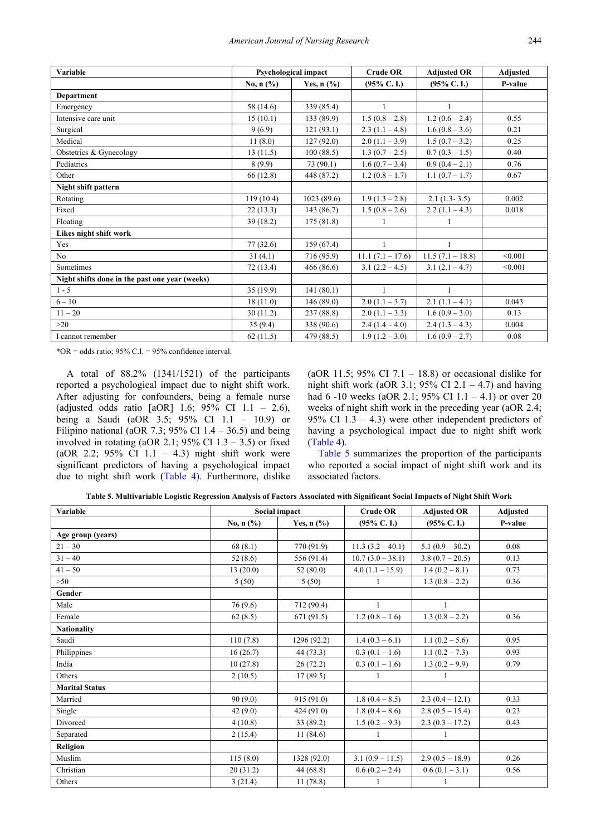| Variable                                       |             | Psychological impact                | <b>Crude OR</b>        | <b>Adjusted OR</b>     | <b>Adjusted</b> |
|------------------------------------------------|-------------|-------------------------------------|------------------------|------------------------|-----------------|
|                                                | No, $n$ (%) | Yes, $n$ $\left(\frac{9}{6}\right)$ | $(95\% \text{ C. I.})$ | $(95\% \text{ C. I.})$ | P-value         |
| <b>Department</b>                              |             |                                     |                        |                        |                 |
| Emergency                                      | 58 (14.6)   | 339 (85.4)                          | 1                      | 1                      |                 |
| Intensive care unit                            | 15(10.1)    | 133(89.9)                           | $1.5(0.8-2.8)$         | $1.2(0.6 - 2.4)$       | 0.55            |
| Surgical                                       | 9(6.9)      | 121(93.1)                           | $2.3(1.1-4.8)$         | $1.6(0.8-3.6)$         | 0.21            |
| Medical                                        | 11(8.0)     | 127(92.0)                           | $2.0(1.1-3.9)$         | $1.5(0.7 - 3.2)$       | 0.25            |
| Obstetrics & Gynecology                        | 13(11.5)    | 100(88.5)                           | $1.3(0.7-2.5)$         | $0.7(0.3-1.5)$         | 0.40            |
| Pediatrics                                     | 8(9.9)      | 73 (90.1)                           | $1.6(0.7 - 3.4)$       | $0.9(0.4-2.1)$         | 0.76            |
| Other                                          | 66 (12.8)   | 448 (87.2)                          | $1.2(0.8-1.7)$         | $1.1(0.7 - 1.7)$       | 0.67            |
| Night shift pattern                            |             |                                     |                        |                        |                 |
| Rotating                                       | 119(10.4)   | 1023(89.6)                          | $1.9(1.3-2.8)$         | $2.1(1.3-3.5)$         | 0.002           |
| Fixed                                          | 22(13.3)    | 143 (86.7)                          | $1.5(0.8-2.6)$         | $2.2(1.1-4.3)$         | 0.018           |
| Floating                                       | 39(18.2)    | 175(81.8)                           | 1                      | 1                      |                 |
| Likes night shift work                         |             |                                     |                        |                        |                 |
| Yes                                            | 77(32.6)    | 159(67.4)                           | $\mathbf{1}$           | $\mathbf{1}$           |                 |
| No                                             | 31(4.1)     | 716 (95.9)                          | $11.1 (7.1 - 17.6)$    | $11.5(7.1 - 18.8)$     | < 0.001         |
| Sometimes                                      | 72 (13.4)   | 466 (86.6)                          | $3.1(2.2 - 4.5)$       | $3.1(2.1 - 4.7)$       | < 0.001         |
| Night shifts done in the past one year (weeks) |             |                                     |                        |                        |                 |
| $1 - 5$                                        | 35(19.9)    | 141(80.1)                           | 1                      | 1                      |                 |
| $6 - 10$                                       | 18(11.0)    | 146(89.0)                           | $2.0(1.1 - 3.7)$       | $2.1(1.1-4.1)$         | 0.043           |
| $11 - 20$                                      | 30(11.2)    | 237 (88.8)                          | $2.0(1.1-3.3)$         | $1.6(0.9-3.0)$         | 0.13            |
| >20                                            | 35(9.4)     | 338 (90.6)                          | $2.4(1.4-4.0)$         | $2.4(1.3-4.3)$         | 0.004           |
| I cannot remember                              | 62(11.5)    | 479 (88.5)                          | $1.9(1.2-3.0)$         | $1.6(0.9-2.7)$         | 0.08            |

\*OR = odds ratio;  $95\%$  C.I. =  $95\%$  confidence interval.

A total of 88.2% (1341/1521) of the participants reported a psychological impact due to night shift work. After adjusting for confounders, being a female nurse (adjusted odds ratio [aOR] 1.6;  $95\%$  CI 1.1 – 2.6), being a Saudi (aOR 3.5; 95% CI 1.1 – 10.9) or Filipino national (aOR 7.3; 95% CI  $1.4 - 36.5$ ) and being involved in rotating (aOR 2.1; 95% CI  $1.3 - 3.5$ ) or fixed (aOR 2.2;  $95\%$  CI 1.1 – 4.3) night shift work were significant predictors of having a psychological impact due to night shift work [\(Table 4\)](#page-5-0). Furthermore, dislike (aOR 11.5; 95% CI 7.1 – 18.8) or occasional dislike for night shift work (aOR 3.1;  $95\%$  CI 2.1 – 4.7) and having had 6 -10 weeks (aOR 2.1; 95% CI 1.1 – 4.1) or over 20 weeks of night shift work in the preceding year (aOR 2.4; 95% CI 1.3 – 4.3) were other independent predictors of having a psychological impact due to night shift work [\(Table 4\)](#page-5-0).

[Table 5](#page-6-0) summarizes the proportion of the participants who reported a social impact of night shift work and its associated factors.

|  | Table 5. Multivariable Logistic Regression Analysis of Factors Associated with Significant Social Impacts of Night Shift Work |  |
|--|-------------------------------------------------------------------------------------------------------------------------------|--|
|  |                                                                                                                               |  |

<span id="page-6-0"></span>

| Variable              | Social impact |              | <b>Crude OR</b>        | <b>Adjusted OR</b>     | Adjusted |
|-----------------------|---------------|--------------|------------------------|------------------------|----------|
|                       | No, $n$ (%)   | Yes, $n$ (%) | $(95\% \text{ C. I.})$ | $(95\% \text{ C. I.})$ | P-value  |
| Age group (years)     |               |              |                        |                        |          |
| $21 - 30$             | 68(8.1)       | 770 (91.9)   | $11.3(3.2 - 40.1)$     | $5.1(0.9 - 30.2)$      | 0.08     |
| $31 - 40$             | 52(8.6)       | 556 (91.4)   | $10.7(3.0-38.1)$       | $3.8(0.7-20.5)$        | 0.13     |
| $41 - 50$             | 13(20.0)      | 52(80.0)     | $4.0(1.1 - 15.9)$      | $1.4(0.2 - 8.1)$       | 0.73     |
| >50                   | 5(50)         | 5(50)        |                        | $1.3(0.8-2.2)$         | 0.36     |
| Gender                |               |              |                        |                        |          |
| Male                  | 76 (9.6)      | 712 (90.4)   | $\mathbf{1}$           | $\mathbf{1}$           |          |
| Female                | 62(8.5)       | 671(91.5)    | $1.2(0.8-1.6)$         | $1.3(0.8-2.2)$         | 0.36     |
| <b>Nationality</b>    |               |              |                        |                        |          |
| Saudi                 | 110(7.8)      | 1296 (92.2)  | $1.4(0.3-6.1)$         | 1.1 $(0.2 - 5.6)$      | 0.95     |
| Philippines           | 16(26.7)      | 44 (73.3)    | $0.3(0.1-1.6)$         | $1.1(0.2 - 7.3)$       | 0.93     |
| India                 | 10(27.8)      | 26(72.2)     | $0.3(0.1-1.6)$         | $1.3(0.2 - 9.9)$       | 0.79     |
| Others                | 2(10.5)       | 17(89.5)     | 1                      | $\mathbf{1}$           |          |
| <b>Marital Status</b> |               |              |                        |                        |          |
| Married               | 90(9.0)       | 915(91.0)    | $1.8(0.4 - 8.5)$       | $2.3(0.4-12.1)$        | 0.33     |
| Single                | 42 $(9.0)$    | 424(91.0)    | $1.8(0.4-8.6)$         | $2.8(0.5 - 15.4)$      | 0.23     |
| Divorced              | 4(10.8)       | 33 (89.2)    | $1.5(0.2 - 9.3)$       | $2.3(0.3 - 17.2)$      | 0.43     |
| Separated             | 2(15.4)       | 11(84.6)     | $\mathbf{1}$           | 1                      |          |
| Religion              |               |              |                        |                        |          |
| Muslim                | 115(8.0)      | 1328 (92.0)  | $3.1(0.9 - 11.5)$      | $2.9(0.5 - 18.9)$      | 0.26     |
| Christian             | 20(31.2)      | 44 (68.8)    | $0.6(0.2 - 2.4)$       | $0.6(0.1-3.1)$         | 0.56     |
| Others                | 3(21.4)       | 11(78.8)     |                        | 1                      |          |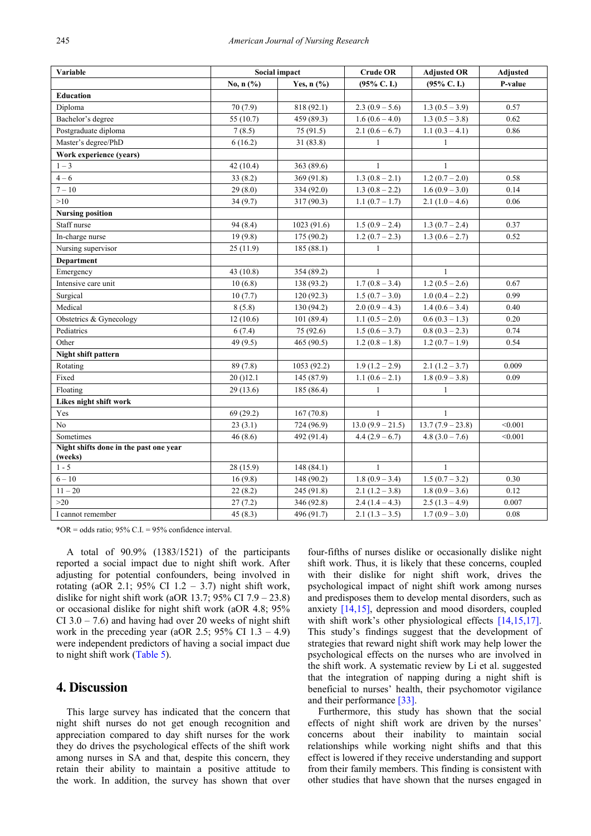| Variable                                          |            | Social impact | <b>Crude OR</b>    | <b>Adjusted OR</b> | <b>Adjusted</b> |
|---------------------------------------------------|------------|---------------|--------------------|--------------------|-----------------|
|                                                   | No, n (%)  | Yes, $n$ (%)  | $(95\%$ C.I.)      | $(95\% C. I.)$     | P-value         |
| <b>Education</b>                                  |            |               |                    |                    |                 |
| Diploma                                           | 70(7.9)    | 818 (92.1)    | $2.3(0.9-5.6)$     | $1.3(0.5-3.9)$     | 0.57            |
| Bachelor's degree                                 | 55 (10.7)  | 459 (89.3)    | $1.6(0.6 - 4.0)$   | $1.3(0.5 - 3.8)$   | 0.62            |
| Postgraduate diploma                              | 7(8.5)     | 75 (91.5)     | $2.1(0.6-6.7)$     | $1.1(0.3 - 4.1)$   | 0.86            |
| Master's degree/PhD                               | 6(16.2)    | 31(83.8)      | $\mathbf{1}$       | $\mathbf{1}$       |                 |
| Work experience (years)                           |            |               |                    |                    |                 |
| $1 - 3$                                           | 42(10.4)   | 363 (89.6)    | 1                  | $\mathbf{1}$       |                 |
| $4 - 6$                                           | 33(8.2)    | 369 (91.8)    | $1.3(0.8-2.1)$     | $1.2(0.7 - 2.0)$   | 0.58            |
| $7 - 10$                                          | 29(8.0)    | 334 (92.0)    | $1.3(0.8 - 2.2)$   | $1.6(0.9 - 3.0)$   | 0.14            |
| >10                                               | 34(9.7)    | 317 (90.3)    | $1.1(0.7 - 1.7)$   | $2.1(1.0-4.6)$     | 0.06            |
| <b>Nursing position</b>                           |            |               |                    |                    |                 |
| Staff nurse                                       | 94(8.4)    | 1023(91.6)    | $1.5(0.9 - 2.4)$   | $1.3(0.7 - 2.4)$   | 0.37            |
| In-charge nurse                                   | 19(9.8)    | 175 (90.2)    | $1.2(0.7 - 2.3)$   | $1.3(0.6 - 2.7)$   | 0.52            |
| Nursing supervisor                                | 25(11.9)   | 185(88.1)     | $\mathbf{1}$       |                    |                 |
| <b>Department</b>                                 |            |               |                    |                    |                 |
| Emergency                                         | 43 (10.8)  | 354 (89.2)    | $\mathbf{1}$       | $\mathbf{1}$       |                 |
| Intensive care unit                               | 10(6.8)    | 138 (93.2)    | $1.7(0.8 - 3.4)$   | $1.2(0.5 - 2.6)$   | 0.67            |
| Surgical                                          | 10(7.7)    | 120(92.3)     | $1.5(0.7 - 3.0)$   | $1.0(0.4 - 2.2)$   | 0.99            |
| Medical                                           | 8(5.8)     | 130 (94.2)    | $2.0(0.9 - 4.3)$   | $1.4(0.6 - 3.4)$   | 0.40            |
| Obstetrics & Gynecology                           | 12(10.6)   | 101(89.4)     | $1.1(0.5 - 2.0)$   | $0.6(0.3-1.3)$     | 0.20            |
| Pediatrics                                        | 6(7.4)     | 75 (92.6)     | $1.5(0.6 - 3.7)$   | $0.8(0.3 - 2.3)$   | 0.74            |
| Other                                             | 49 $(9.5)$ | 465 $(90.5)$  | $1.2(0.8-1.8)$     | $1.2(0.7 - 1.9)$   | 0.54            |
| Night shift pattern                               |            |               |                    |                    |                 |
| Rotating                                          | 89(7.8)    | 1053 (92.2)   | $1.9(1.2-2.9)$     | $2.1(1.2 - 3.7)$   | 0.009           |
| Fixed                                             | 20 ()12.1  | 145 (87.9)    | $1.1(0.6 - 2.1)$   | $1.8(0.9 - 3.8)$   | 0.09            |
| Floating                                          | 29 (13.6)  | 185 (86.4)    | $\mathbf{1}$       | $\mathbf{1}$       |                 |
| Likes night shift work                            |            |               |                    |                    |                 |
| Yes                                               | 69(29.2)   | 167(70.8)     | 1                  | 1                  |                 |
| No                                                | 23(3.1)    | 724 (96.9)    | $13.0(9.9 - 21.5)$ | $13.7(7.9 - 23.8)$ | < 0.001         |
| Sometimes                                         | 46(8.6)    | 492 (91.4)    | $4.4(2.9-6.7)$     | $4.8(3.0 - 7.6)$   | < 0.001         |
| Night shifts done in the past one year<br>(weeks) |            |               |                    |                    |                 |
| $1 - 5$                                           | 28 (15.9)  | 148(84.1)     | $\mathbf{1}$       | $\mathbf{1}$       |                 |
| $6 - 10$                                          | 16(9.8)    | 148 (90.2)    | $1.8(0.9 - 3.4)$   | $1.5(0.7 - 3.2)$   | 0.30            |
| $11 - 20$                                         | 22(8.2)    | 245 (91.8)    | $2.1(1.2-3.8)$     | $1.8(0.9 - 3.6)$   | 0.12            |
| $>20$                                             | 27(7.2)    | 346 (92.8)    | $2.4(1.4-4.3)$     | $2.5(1.3-4.9)$     | 0.007           |
| I cannot remember                                 | 45(8.3)    | 496 (91.7)    | $2.1(1.3-3.5)$     | $1.7(0.9 - 3.0)$   | 0.08            |

 $*OR = odds ratio$ ; 95% C.I. = 95% confidence interval.

A total of 90.9% (1383/1521) of the participants reported a social impact due to night shift work. After adjusting for potential confounders, being involved in rotating (aOR 2.1; 95% CI  $1.2 - 3.7$ ) night shift work, dislike for night shift work (aOR 13.7;  $95\%$  CI 7.9 – 23.8) or occasional dislike for night shift work (aOR 4.8; 95% CI  $3.0 - 7.6$ ) and having had over 20 weeks of night shift work in the preceding year (aOR 2.5; 95% CI  $1.3 - 4.9$ ) were independent predictors of having a social impact due to night shift work [\(Table 5\)](#page-6-0).

### **4. Discussion**

This large survey has indicated that the concern that night shift nurses do not get enough recognition and appreciation compared to day shift nurses for the work they do drives the psychological effects of the shift work among nurses in SA and that, despite this concern, they retain their ability to maintain a positive attitude to the work. In addition, the survey has shown that over

four-fifths of nurses dislike or occasionally dislike night shift work. Thus, it is likely that these concerns, coupled with their dislike for night shift work, drives the psychological impact of night shift work among nurses and predisposes them to develop mental disorders, such as anxiety [\[14,15\],](#page-9-3) depression and mood disorders, coupled with shift work's other physiological effects [\[14,15,17\].](#page-9-3) This study's findings suggest that the development of strategies that reward night shift work may help lower the psychological effects on the nurses who are involved in the shift work. A systematic review by Li et al. suggested that the integration of napping during a night shift is beneficial to nurses' health, their psychomotor vigilance and their performance [\[33\].](#page-9-16)

Furthermore, this study has shown that the social effects of night shift work are driven by the nurses' concerns about their inability to maintain social relationships while working night shifts and that this effect is lowered if they receive understanding and support from their family members. This finding is consistent with other studies that have shown that the nurses engaged in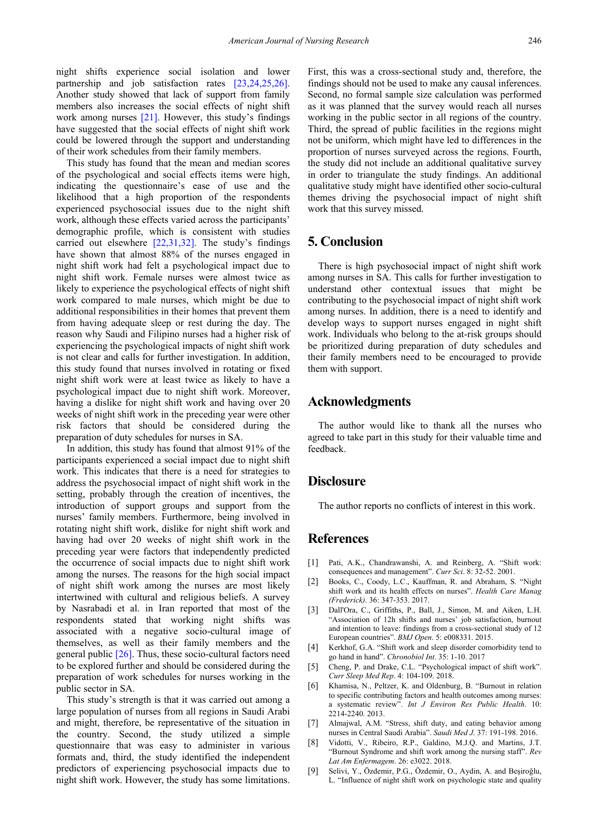night shifts experience social isolation and lower partnership and job satisfaction rates [\[23,24,25,26\].](#page-9-8) Another study showed that lack of support from family members also increases the social effects of night shift work among nurses [\[21\].](#page-9-6) However, this study's findings have suggested that the social effects of night shift work could be lowered through the support and understanding of their work schedules from their family members.

This study has found that the mean and median scores of the psychological and social effects items were high, indicating the questionnaire's ease of use and the likelihood that a high proportion of the respondents experienced psychosocial issues due to the night shift work, although these effects varied across the participants' demographic profile, which is consistent with studies carried out elsewhere [\[22,31,32\].](#page-9-7) The study's findings have shown that almost 88% of the nurses engaged in night shift work had felt a psychological impact due to night shift work. Female nurses were almost twice as likely to experience the psychological effects of night shift work compared to male nurses, which might be due to additional responsibilities in their homes that prevent them from having adequate sleep or rest during the day. The reason why Saudi and Filipino nurses had a higher risk of experiencing the psychological impacts of night shift work is not clear and calls for further investigation. In addition, this study found that nurses involved in rotating or fixed night shift work were at least twice as likely to have a psychological impact due to night shift work. Moreover, having a dislike for night shift work and having over 20 weeks of night shift work in the preceding year were other risk factors that should be considered during the preparation of duty schedules for nurses in SA.

In addition, this study has found that almost 91% of the participants experienced a social impact due to night shift work. This indicates that there is a need for strategies to address the psychosocial impact of night shift work in the setting, probably through the creation of incentives, the introduction of support groups and support from the nurses' family members. Furthermore, being involved in rotating night shift work, dislike for night shift work and having had over 20 weeks of night shift work in the preceding year were factors that independently predicted the occurrence of social impacts due to night shift work among the nurses. The reasons for the high social impact of night shift work among the nurses are most likely intertwined with cultural and religious beliefs. A survey by Nasrabadi et al. in Iran reported that most of the respondents stated that working night shifts was associated with a negative socio-cultural image of themselves, as well as their family members and the general public [\[26\].](#page-9-11) Thus, these socio-cultural factors need to be explored further and should be considered during the preparation of work schedules for nurses working in the public sector in SA.

This study's strength is that it was carried out among a large population of nurses from all regions in Saudi Arabi and might, therefore, be representative of the situation in the country. Second, the study utilized a simple questionnaire that was easy to administer in various formats and, third, the study identified the independent predictors of experiencing psychosocial impacts due to night shift work. However, the study has some limitations. First, this was a cross-sectional study and, therefore, the findings should not be used to make any causal inferences. Second, no formal sample size calculation was performed as it was planned that the survey would reach all nurses working in the public sector in all regions of the country. Third, the spread of public facilities in the regions might not be uniform, which might have led to differences in the proportion of nurses surveyed across the regions. Fourth, the study did not include an additional qualitative survey in order to triangulate the study findings. An additional qualitative study might have identified other socio-cultural themes driving the psychosocial impact of night shift work that this survey missed.

# **5. Conclusion**

There is high psychosocial impact of night shift work among nurses in SA. This calls for further investigation to understand other contextual issues that might be contributing to the psychosocial impact of night shift work among nurses. In addition, there is a need to identify and develop ways to support nurses engaged in night shift work. Individuals who belong to the at-risk groups should be prioritized during preparation of duty schedules and their family members need to be encouraged to provide them with support.

### **Acknowledgments**

The author would like to thank all the nurses who agreed to take part in this study for their valuable time and feedback.

### **Disclosure**

The author reports no conflicts of interest in this work.

# **References**

- <span id="page-8-0"></span>[1] Pati, A.K., Chandrawanshi, A. and Reinberg, A. "Shift work: consequences and management". *Curr Sci*. 8: 32-52. 2001.
- <span id="page-8-5"></span>[2] Books, C., Coody, L.C., Kauffman, R. and Abraham, S. "Night shift work and its health effects on nurses". *Health Care Manag (Frederick)*. 36: 347-353. 2017.
- <span id="page-8-1"></span>[3] Dall'Ora, C., Griffiths, P., Ball, J., Simon, M. and Aiken, L.H. "Association of 12h shifts and nurses' job satisfaction, burnout and intention to leave: findings from a cross-sectional study of 12 European countries". *BMJ Open*. 5: e008331. 2015.
- <span id="page-8-2"></span>[4] Kerkhof, G.A. "Shift work and sleep disorder comorbidity tend to go hand in hand". *Chronobiol Int*. 35: 1-10. 2017
- <span id="page-8-3"></span>[5] Cheng, P. and Drake, C.L. "Psychological impact of shift work". *Curr Sleep Med Rep*. 4: 104-109. 2018.
- <span id="page-8-4"></span>[6] Khamisa, N., Peltzer, K. and Oldenburg, B. "Burnout in relation to specific contributing factors and health outcomes among nurses: a systematic review". *Int J Environ Res Public Health*. 10: 2214-2240. 2013.
- [7] Almajwal, A.M. "Stress, shift duty, and eating behavior among nurses in Central Saudi Arabia". *Saudi Med J*. 37: 191-198. 2016.
- [8] Vidotti, V., Ribeiro, R.P., Galdino, M.J.Q. and Martins, J.T. "Burnout Syndrome and shift work among the nursing staff". *Rev Lat Am Enfermagem*. 26: e3022. 2018.
- [9] Selivi, Y., Özdemir, P.G., Özdemir, O., Aydin, A. and Beşiroğlu, L. "Influence of night shift work on psychologic state and quality